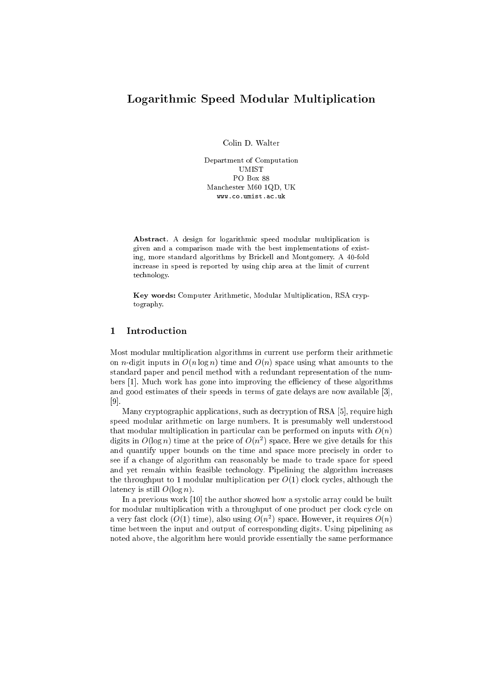# Logarithmi Speed Modular Multipli
ation

Colin D. Walter

Department of Computation UMIST PO Box 88 Man
hester M60 1QD, UK www.
o.umist.a
.uk

Abstract. A design for logarithmic speed modular multiplication is given and a omparison made with the best implementations of existing, more standard algorithms by Bri
kell and Montgomery. A 40-fold increase in speed is reported by using chip area at the limit of current te
hnology.

Key words: Computer Arithmetic, Modular Multiplication, RSA cryptography.

# 1 Introduction

Most modular multiplication algorithms in current use perform their arithmetic on *n*-digit inputs in  $O(n \log n)$  time and  $O(n)$  space using what amounts to the standard paper and pen
il method with a redundant representation of the numbers [1]. Much work has gone into improving the efficiency of these algorithms and good estimates of their speeds in terms of gate delays are now available  $[3]$ ,  $[9]$ .

Many cryptographic applications, such as decryption of RSA [5], require high speed modular arithmeti on large numbers. It is presumably well understood that modular multiplication in particular can be performed on inputs with  $O(n)$ digits in  $O(\log n)$  time at the price of  $O(n^-)$  space. Here we give details for this and quantify upper bounds on the time and space more precisely in order to see if a change of algorithm can reasonably be made to trade space for speed and yet remain within feasible technology. Pipelining the algorithm increases the throughput to 1 modular multiplication per  $O(1)$  clock cycles, although the latency is still  $O(\log n)$ .

In a previous work  $[10]$  the author showed how a systolic array could be built for modular multiplication with a throughput of one product per clock cycle on a very fast clock ( $O(1)$  time), also using  $O(n^2)$  space. However, it requires  $O(n)$ time between the input and output of orresponding digits. Using pipelining as noted above, the algorithm here would provide essentially the same performan
e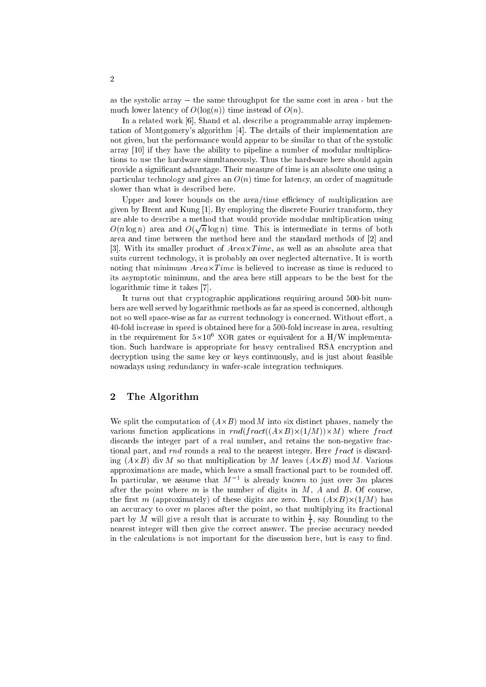as the systolic array  $-$  the same throughput for the same cost in area  $-$  but the much lower latency of  $O(log(n))$  time instead of  $O(n)$ .

In a related work [6], Shand et al. describe a programmable array implementation of Montgomery's algorithm [4]. The details of their implementation are not given, but the performan
e would appear to be similar to that of the systoli array  $[10]$  if they have the ability to pipeline a number of modular multiplications to use the hardware simultaneously. Thus the hardware here should again provide a significant advantage. Their measure of time is an absolute one using a particular technology and gives an  $O(n)$  time for latency, an order of magnitude slower than what is described here.

Upper and lower bounds on the area/time efficiency of multiplication are given by Brent and Kung [1]. By employing the discrete Fourier transform, they are able to des
ribe a method that would provide modular multipli
ation using  $O(n \log n)$  area and  $O(\sqrt{n} \log n)$  time. This is intermediate in terms of both area and time between the method here and the standard methods of [2] and [3℄. With its smaller produ
t of Area-T ime, as well as an absolute area that suits current technology, it is probably an over neglected alternative. It is worth rease as time and minimum areas as time in the case of the second the complete the second to its asymptotic minimum, and the area here still appears to be the best for the logarithmic time it takes [7].

It turns out that cryptographic applications requiring around 500-bit numbers are well served by logarithmi methods as far as speed is on
erned, although not so well space-wise as far as current technology is concerned. Without effort, a 40-fold in
rease in speed is obtained here for a 500-fold in
rease in area, resulting in the requirement for  $5\times10^{-5}$  NOR gates or equivalent for a  $\pi/$  we implementation. Such hardware is appropriate for heavy centralised RSA encryption and de
ryption using the same key or keys ontinuously, and is just about feasible nowadays using redundan
y in wafer-s
ale integration te
hniques.

## 2 The Algorithm

we spint that the phases of (A-C) models are the six distinctly the six distinction of  $\sim$ tion at the function of the function of the function  $\{f(x, \cdot) \mid x \in \{f(x, \cdot) \mid x \in \{f(x, \cdot) \mid x \in \{f(x, \cdot) \mid x \in \{f(x, \cdot) \mid x \in \{f(x, \cdot) \mid x \in \{f(x, \cdot) \mid x \in \{f(x, \cdot) \mid x \in \{f(x, \cdot) \mid x \in \{f(x, \cdot) \mid x \in \{f(x, \cdot) \mid x \in \{f(x, \cdot) \mid x \in \{f(x, \cdot) \mid x \$ discards the integer part of a real number, and retains the non-negative fractional part, and rnd rounds a real to the nearest integer. Here fract is discarding (A-B) div M so that multipli
ation by M leaves (A-B) mod M. Various approximations are made, which leave a small fractional part to be rounded off. In particular, we assume that  $M_{\rm{1}}$  is already known to just over  $\mathfrak{z}m$  places after the point where  $m$  is the number of digits in  $M$ ,  $A$  and  $B$ . Of course, the contract  $\{m_p\}$  are  $\{m_{p-1},\ldots,m_{p-1}\}$  , are the distribution of the  $\{m_{p-1},\ldots,m_{p-1}\}$  are  $\{m_{p-1},\ldots,m_{p-1}\}$ an accuracy to over  $m$  places after the point, so that multiplying its fractional part by  $M$  will give a result that is accurate to within  $\frac{1}{4}$ , say. Rounding to the nearest integer will then give the orre
t answer. The pre
ise a

ura
y needed in the calculations is not important for the discussion here, but is easy to find.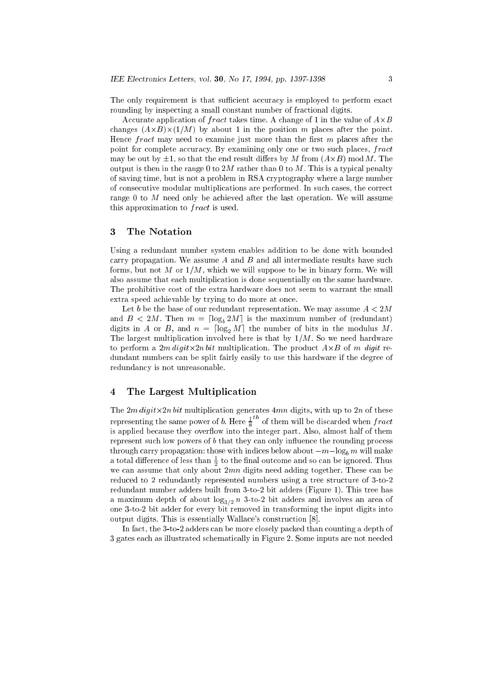The only requirement is that sufficient accuracy is employed to perform exact rounding by inspecting a small constant number of fractional digits.

ation of the first contract of A-C in the value of the value of the value of the value of  $\sim$ hanges (A-B)-(1=M) by about 1 in the position m pla
es after the point. Hence  $fract$  may need to examine just more than the first  $m$  places after the point for complete accuracy. By examining only one or two such places, fract may be out by 1, so that the end result diers by M from (A-B) modM. The output is then in the range 0 to  $2M$  rather than 0 to M. This is a typical penalty of saving time, but is not a problem in RSA ryptography where a large number of onse
utive modular multipli
ations are performed. In su
h ases, the orre
t range 0 to M need only be achieved after the last operation. We will assume this approximation to *fract* is used.

### 3 The Notation

Using a redundant number system enables addition to be done with bounded carry propagation. We assume  $A$  and  $B$  and all intermediate results have such forms, but not M or  $1/M$ , which we will suppose to be in binary form. We will also assume that ea
h multipli
ation is done sequentially on the same hardware. The prohibitive cost of the extra hardware does not seem to warrant the small extra speed achievable by trying to do more at once.

Let b be the base of our redundant representation. We may assume  $A < 2M$ and  $B < 2M$ . Then  $m = \lceil \log_b 2M \rceil$  is the maximum number of (redundant) digits in A or B, and  $n = \lfloor \log_2 M \rfloor$  the number of bits in the modulus M. The largest multiplication involved here is that by  $1/M$ . So we need hardware to perform a 2m digit-left-called monotoperformation. The products re-left-called the products of dundant numbers an be split fairly easily to use this hardware if the degree of redundan
y is not unreasonable.

### 4 The Largest Multipli
ation

ation at the 20 digital contract produced at the 2nd digital contract with up to 2nd digital contract of these representing the same power of b. Here  $\frac{1}{6}$  of them will be discarded when fract is applied be
ause they over
ow into the integer part. Also, almost half of them represent such low powers of  $b$  that they can only influence the rounding process through carry propagation: those with indices below about  $-m-\log_b m$  will make a total difference of less than  $\frac{1}{2}$  to the final outcome and so can be ignored. I hus we assume that only about 2mn digital three controls need adding to the second together. The second together. The second together. The second together. The second together. The second together. The second together. The sec reduced to 2 redundantly represented numbers using a tree structure of 3-to-2 redundant number adders built from 3-to-2 bit adders (Figure 1). This tree has a maximum depth of about  $\log_{3/2} n$  3-to-2 bit adders and involves an area of one 3-to-2 bit adder for every bit removed in transforming the input digits into output digits. This is essentially Wallace's construction [8].

In fact, the 3-to-2 adders can be more closely packed than counting a depth of 3 gates ea
h as illustrated s
hemati
ally in Figure 2. Some inputs are not needed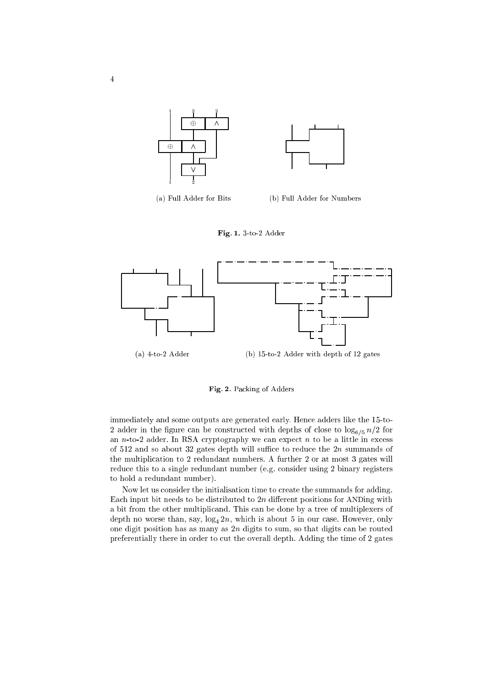



(a) Full Adder for Bits (b) Full Adder for Numbers





Fig. 2. Packing of Adders

immediately and some outputs are generated early. Hence adders like the 15-to-2 adder in the figure can be constructed with depths of close to  $\log_{6/5} n/2$  for an *n*-to-2 adder. In RSA cryptography we can expect *n* to be a little in excess of  $512$  and so about 32 gates depth will suffice to reduce the  $2n$  summands of the multiplication to 2 redundant numbers. A further 2 or at most 3 gates will reduce this to a single redundant number (e.g. consider using 2 binary registers to hold a redundant number).

Now let us consider the initialisation time to create the summands for adding. Each input bit needs to be distributed to  $2n$  different positions for ANDing with a bit from the other multipli
and. This an be done by a tree of multiplexers of depth no worse than, say,  $log_4 2n$ , which is about 5 in our case. However, only one digit position has as many as  $2n$  digits to sum, so that digits can be routed preferentially there in order to cut the overall depth. Adding the time of 2 gates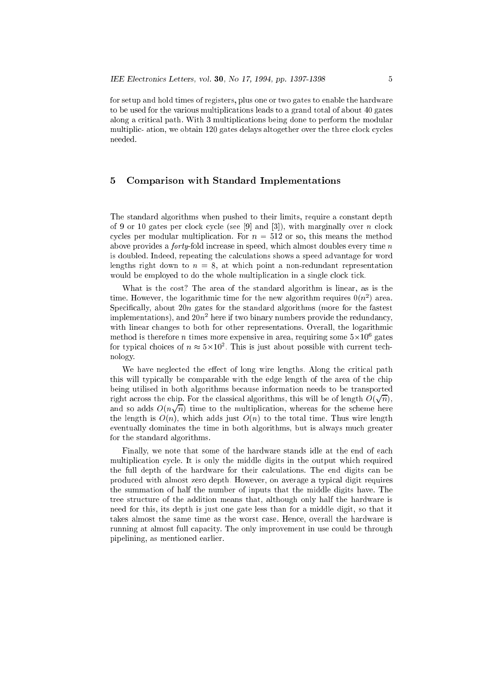for setup and hold times of registers, plus one or two gates to enable the hardware to be used for the various multiplications leads to a grand total of about 40 gates along a critical path. With 3 multiplications being done to perform the modular multiplic-ation, we obtain 120 gates delays altogether over the three clock cycles needed.

#### 5 5 Comparison with Standard Implementations

The standard algorithms when pushed to their limits, require a constant depth of 9 or 10 gates per clock cycle (see [9] and [3]), with marginally over n clock cycles per modular multiplication. For  $n = 512$  or so, this means the method above provides a *forty*-fold increase in speed, which almost doubles every time  $n$ is doubled. Indeed, repeating the calculations shows a speed advantage for word lengths right down to  $n = 8$ , at which point a non-redundant representation would be employed to do the whole multiplication in a single clock tick.

What is the cost? The area of the standard algorithm is linear, as is the time. However, the logarithmic time for the new algorithm requires  $0(n^2)$  area. Specifically, about 20n gates for the standard algorithms (more for the fastest  $\min$ plementations), and  $\omega n$  -here if two binary numbers provide the redundancy, with linear changes to both for other representations. Overall, the logarithmic method is therefore  $n$  times more expensive in area, requiring some  $5\times10^5$  gates for typical choices of  $n \approx$  5×10°. This is just about possible with current technology.

We have neglected the effect of long wire lengths. Along the critical path this will typically be comparable with the edge length of the area of the chip being utilised in both algorithms be
ause information needs to be transported right across the chip. For the classical algorithms, this will be of length  $O(\sqrt{n})$ , and so adds  $O(n\sqrt{n})$  time to the multiplication, whereas for the scheme here the length is  $O(n)$ , which adds just  $O(n)$  to the total time. Thus wire length eventually dominates the time in both algorithms, but is always mu
h greater for the standard algorithms.

Finally, we note that some of the hardware stands idle at the end of each multiplication cycle. It is only the middle digits in the output which required the full depth of the hardware for their calculations. The end digits can be produ
ed with almost zero depth. However, on average a typi
al digit requires the summation of half the number of inputs that the middle digits have. The tree structure of the addition means that, although only half the hardware is need for this, its depth is just one gate less than for a middle digit, so that it takes almost the same time as the worst case. Hence, overall the hardware is running at almost full capacity. The only improvement in use could be through pipelining, as mentioned earlier.